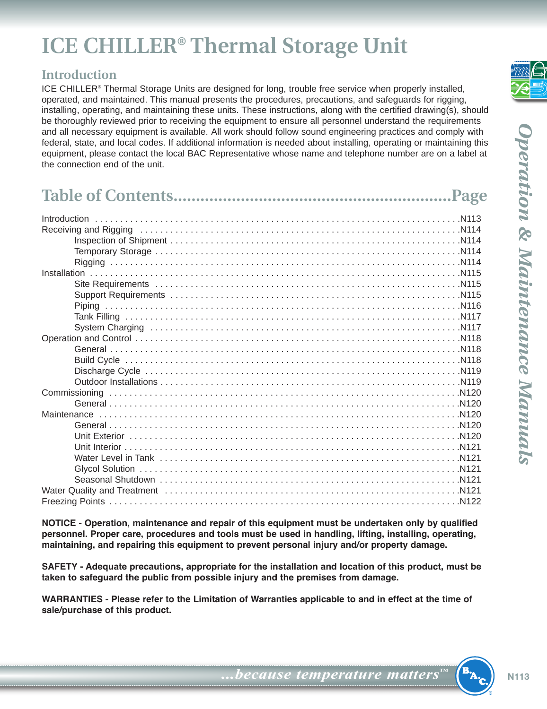# **ICE CHILLER® Thermal Storage Unit**

### **Introduction**

ICE CHILLER**®** Thermal Storage Units are designed for long, trouble free service when properly installed, operated, and maintained. This manual presents the procedures, precautions, and safeguards for rigging, installing, operating, and maintaining these units. These instructions, along with the certified drawing(s), should be thoroughly reviewed prior to receiving the equipment to ensure all personnel understand the requirements and all necessary equipment is available. All work should follow sound engineering practices and comply with federal, state, and local codes. If additional information is needed about installing, operating or maintaining this equipment, please contact the local BAC Representative whose name and telephone number are on a label at the connection end of the unit.

**NOTICE - Operation, maintenance and repair of this equipment must be undertaken only by qualified personnel. Proper care, procedures and tools must be used in handling, lifting, installing, operating, maintaining, and repairing this equipment to prevent personal injury and/or property damage.**

**SAFETY - Adequate precautions, appropriate for the installation and location of this product, must be taken to safeguard the public from possible injury and the premises from damage.**

WARRANTIES - Please refer to the Limitation of Warranties applicable to and in effect at the time of **sale/purchase of this product.**

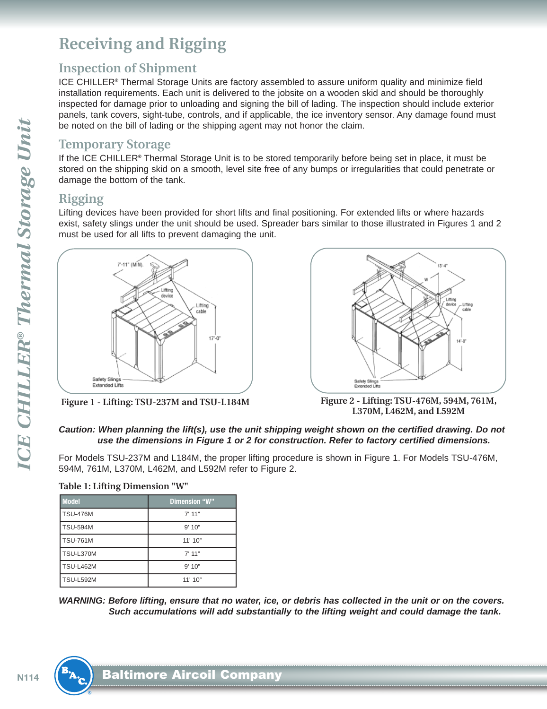## <span id="page-1-0"></span>**Receiving and Rigging**

#### **Inspection of Shipment**

ICE CHILLER**®** Thermal Storage Units are factory assembled to assure uniform quality and minimize field installation requirements. Each unit is delivered to the jobsite on a wooden skid and should be thoroughly inspected for damage prior to unloading and signing the bill of lading. The inspection should include exterior panels, tank covers, sight-tube, controls, and if applicable, the ice inventory sensor. Any damage found must be noted on the bill of lading or the shipping agent may not honor the claim.

#### **Temporary Storage**

If the ICE CHILLER**®** Thermal Storage Unit is to be stored temporarily before being set in place, it must be stored on the shipping skid on a smooth, level site free of any bumps or irregularities that could penetrate or damage the bottom of the tank.

### **Rigging**

Lifting devices have been provided for short lifts and final positioning. For extended lifts or where hazards exist, safety slings under the unit should be used. Spreader bars similar to those illustrated in Figures 1 and 2 must be used for all lifts to prevent damaging the unit.





**Figure 1 - Lifting: TSU-237M and TSU-L184M Figure 2 - Lifting: TSU-476M, 594M, 761M, L370M, L462M, and L592M**

#### **Caution: When planning the lift(s), use the unit shipping weight shown on the certified drawing. Do not use the dimensions in Figure 1 or 2 for construction. Refer to factory certified dimensions.**

For Models TSU-237M and L184M, the proper lifting procedure is shown in Figure 1. For Models TSU-476M, 594M, 761M, L370M, L462M, and L592M refer to Figure 2.

**Table 1: Lifting Dimension "W"**

| <b>Model</b>     | Dimension "W" |
|------------------|---------------|
| TSU-476M         | $7'$ 11"      |
| <b>TSU-594M</b>  | 9'10"         |
| <b>TSU-761M</b>  | 11'10"        |
| TSU-L370M        | 7'11"         |
| <b>TSU-L462M</b> | 9'10"         |
| TSU-L592M        | 11'10"        |

WARNING: Before lifting, ensure that no water, ice, or debris has collected in the unit or on the covers. **Such accumulations will add substantially to the lifting weight and could damage the tank.**

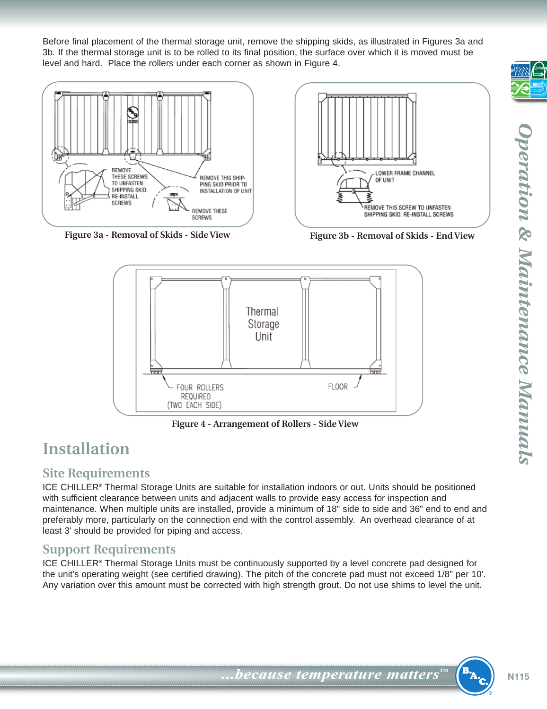<span id="page-2-0"></span>Before final placement of the thermal storage unit, remove the shipping skids, as illustrated in Figures 3a and 3b. If the thermal storage unit is to be rolled to its final position, the surface over which it is moved must be level and hard. Place the rollers under each corner as shown in Figure 4.



**Figure 3a - Removal of Skids - Side View Figure 3b - Removal of Skids - End View**



**Figure 4 - Arrangement of Rollers - Side View**

## **Installation**

#### **Site Requirements**

ICE CHILLER**®** Thermal Storage Units are suitable for installation indoors or out. Units should be positioned with sufficient clearance between units and adjacent walls to provide easy access for inspection and maintenance. When multiple units are installed, provide a minimum of 18" side to side and 36" end to end and preferably more, particularly on the connection end with the control assembly. An overhead clearance of at least 3' should be provided for piping and access.

### **Support Requirements**

ICE CHILLER**®** Thermal Storage Units must be continuously supported by a level concrete pad designed for the unit's operating weight (see certified drawing). The pitch of the concrete pad must not exceed 1/8" per 10'. Any variation over this amount must be corrected with high strength grout. Do not use shims to level the unit.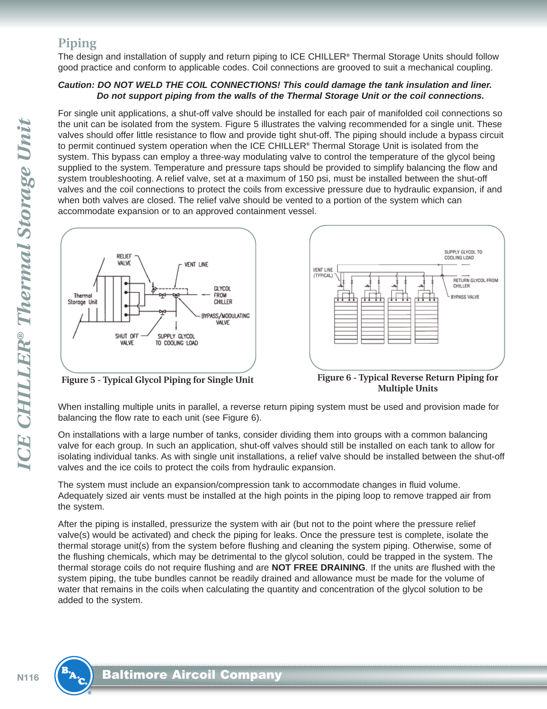#### <span id="page-3-0"></span>**Piping**

The design and installation of supply and return piping to ICE CHILLER**®** Thermal Storage Units should follow good practice and conform to applicable codes. Coil connections are grooved to suit a mechanical coupling.

#### **Caution: DO NOT WELD THE COIL CONNECTIONS! This could damage the tank insulation and liner. Do not support piping from the walls of the Thermal Storage Unit or the coil connections.**

For single unit applications, a shut-off valve should be installed for each pair of manifolded coil connections so the unit can be isolated from the system. Figure 5 illustrates the valving recommended for a single unit. These valves should offer little resistance to flow and provide tight shut-off. The piping should include a bypass circuit to permit continued system operation when the ICE CHILLER**®** Thermal Storage Unit is isolated from the system. This bypass can employ a three-way modulating valve to control the temperature of the glycol being supplied to the system. Temperature and pressure taps should be provided to simplify balancing the flow and system troubleshooting. A relief valve, set at a maximum of 150 psi, must be installed between the shut-off valves and the coil connections to protect the coils from excessive pressure due to hydraulic expansion, if and when both valves are closed. The relief valve should be vented to a portion of the system which can accommodate expansion or to an approved containment vessel.



**Figure 5 - Typical Glycol Piping for Single Unit Figure 6 - Typical Reverse Return Piping for Multiple Units**

When installing multiple units in parallel, a reverse return piping system must be used and provision made for balancing the flow rate to each unit (see Figure 6).

On installations with a large number of tanks, consider dividing them into groups with a common balancing valve for each group. In such an application, shut-off valves should still be installed on each tank to allow for isolating individual tanks. As with single unit installations, a relief valve should be installed between the shut-off valves and the ice coils to protect the coils from hydraulic expansion.

The system must include an expansion/compression tank to accommodate changes in fluid volume. Adequately sized air vents must be installed at the high points in the piping loop to remove trapped air from the system.

After the piping is installed, pressurize the system with air (but not to the point where the pressure relief valve(s) would be activated) and check the piping for leaks. Once the pressure test is complete, isolate the thermal storage unit(s) from the system before flushing and cleaning the system piping. Otherwise, some of the flushing chemicals, which may be detrimental to the glycol solution, could be trapped in the system. The thermal storage coils do not require flushing and are **NOT FREE DRAINING**. If the units are flushed with the system piping, the tube bundles cannot be readily drained and allowance must be made for the volume of water that remains in the coils when calculating the quantity and concentration of the glycol solution to be added to the system.

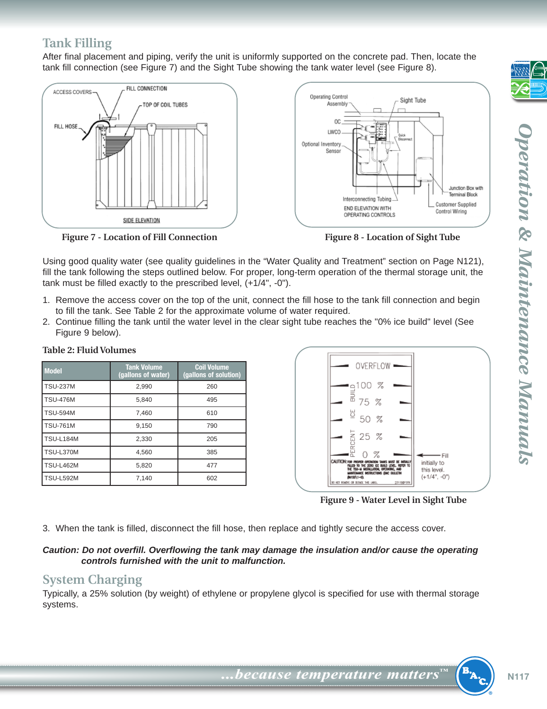## <span id="page-4-0"></span>**Tank Filling**

After final placement and piping, verify the unit is uniformly supported on the concrete pad. Then, locate the tank fill connection (see Figure 7) and the Sight Tube showing the tank water level (see Figure 8).



**Figure 7 - Location of Fill Connection**



Using good quality water (see quality guidelines in the "Water Quality and Treatment" section on Page N121), fill the tank following the steps outlined below. For proper, long-term operation of the thermal storage unit, the tank must be filled exactly to the prescribed level, (+1/4", -0").

- 1. Remove the access cover on the top of the unit, connect the fill hose to the tank fill connection and begin to fill the tank. See Table 2 for the approximate volume of water required.
- 2. Continue filling the tank until the water level in the clear sight tube reaches the "0% ice build" level (See Figure 9 below).

| <b>Model</b>     | <b>Tank Volume</b><br>(gallons of water) | <b>Coil Volume</b><br>(gallons of solution) |
|------------------|------------------------------------------|---------------------------------------------|
| <b>TSU-237M</b>  | 2,990                                    | 260                                         |
| <b>TSU-476M</b>  | 5,840                                    | 495                                         |
| <b>TSU-594M</b>  | 7,460                                    | 610                                         |
| <b>TSU-761M</b>  | 9.150                                    | 790                                         |
| <b>TSU-L184M</b> | 2,330                                    | 205                                         |
| <b>TSU-L370M</b> | 4.560                                    | 385                                         |
| <b>TSU-L462M</b> | 5,820                                    | 477                                         |
| <b>TSU-L592M</b> | 7,140                                    | 602                                         |





**Figure 9 - Water Level in Sight Tube**

3. When the tank is filled, disconnect the fill hose, then replace and tightly secure the access cover.

#### **Caution: Do not overfill. Overflowing the tank may damage the insulation and/or cause the operating controls furnished with the unit to malfunction.**

### **System Charging**

Typically, a 25% solution (by weight) of ethylene or propylene glycol is specified for use with thermal storage systems.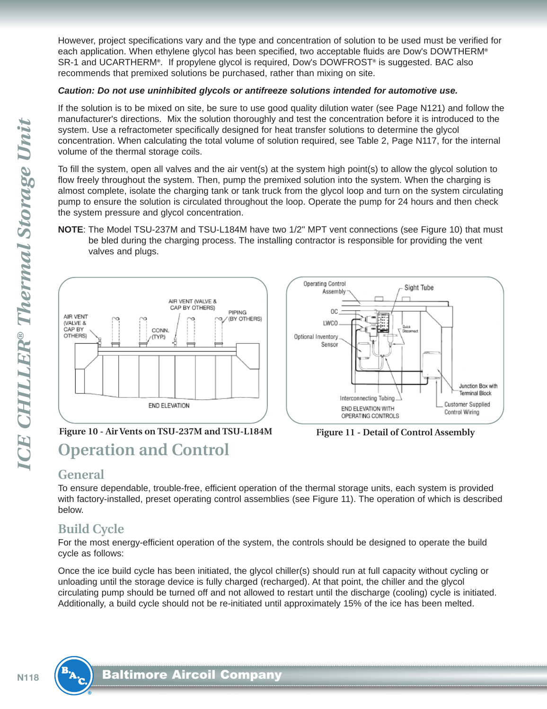<span id="page-5-0"></span>However, project specifications vary and the type and concentration of solution to be used must be verified for each application. When ethylene glycol has been specified, two acceptable fluids are Dow's DOWTHERM**®** SR-1 and UCARTHERM**®**. If propylene glycol is required, Dow's DOWFROST**®** is suggested. BAC also recommends that premixed solutions be purchased, rather than mixing on site.

#### **Caution: Do not use uninhibited glycols or antifreeze solutions intended for automotive use.**

If the solution is to be mixed on site, be sure to use good quality dilution water (see Page N121) and follow the manufacturer's directions. Mix the solution thoroughly and test the concentration before it is introduced to the system. Use a refractometer specifically designed for heat transfer solutions to determine the glycol concentration. When calculating the total volume of solution required, see Table 2, Page N117, for the internal volume of the thermal storage coils.

To fill the system, open all valves and the air vent(s) at the system high point(s) to allow the glycol solution to flow freely throughout the system. Then, pump the premixed solution into the system. When the charging is almost complete, isolate the charging tank or tank truck from the glycol loop and turn on the system circulating pump to ensure the solution is circulated throughout the loop. Operate the pump for 24 hours and then check the system pressure and glycol concentration.

**NOTE**: The Model TSU-237M and TSU-L184M have two 1/2" MPT vent connections (see Figure 10) that must be bled during the charging process. The installing contractor is responsible for providing the vent valves and plugs.





## **Operation and Control Figure 10 - Air Vents on TSU-237M and TSU-L184M Figure 11 - Detail of Control Assembly**



#### **General**

To ensure dependable, trouble-free, efficient operation of the thermal storage units, each system is provided with factory-installed, preset operating control assemblies (see Figure 11). The operation of which is described below.

## **Build Cycle**

For the most energy-efficient operation of the system, the controls should be designed to operate the build cycle as follows:

Once the ice build cycle has been initiated, the glycol chiller(s) should run at full capacity without cycling or unloading until the storage device is fully charged (recharged). At that point, the chiller and the glycol circulating pump should be turned off and not allowed to restart until the discharge (cooling) cycle is initiated. Additionally, a build cycle should not be re-initiated until approximately 15% of the ice has been melted.

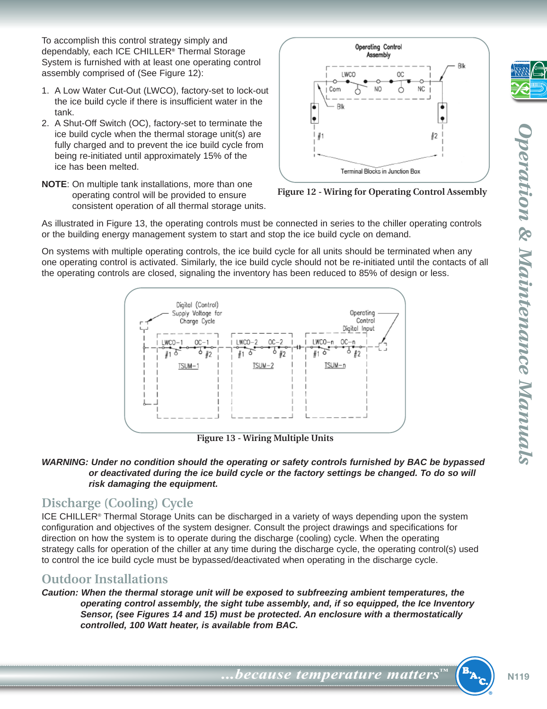<span id="page-6-0"></span>To accomplish this control strategy simply and dependably, each ICE CHILLER**®** Thermal Storage System is furnished with at least one operating control assembly comprised of (See Figure 12):

- 1. A Low Water Cut-Out (LWCO), factory-set to lock-out the ice build cycle if there is insufficient water in the tank.
- 2. A Shut-Off Switch (OC), factory-set to terminate the ice build cycle when the thermal storage unit(s) are fully charged and to prevent the ice build cycle from being re-initiated until approximately 15% of the ice has been melted.
- Operating Control Assembly LWCO **OC** Com NO Ò ΝC ß Blk ò ۱ę  $\bullet$  $#1$ ∦2 Terminal Blocks in Junction Box
- **NOTE**: On multiple tank installations, more than one operating control will be provided to ensure consistent operation of all thermal storage units.

**Figure 12 - Wiring for Operating Control Assembly**

As illustrated in Figure 13, the operating controls must be connected in series to the chiller operating controls or the building energy management system to start and stop the ice build cycle on demand.

On systems with multiple operating controls, the ice build cycle for all units should be terminated when any one operating control is activated. Similarly, the ice build cycle should not be re-initiated until the contacts of all the operating controls are closed, signaling the inventory has been reduced to 85% of design or less.



**Figure 13 - Wiring Multiple Units**

#### **WARNING: Under no condition should the operating or safety controls furnished by BAC be bypassed or deactivated during the ice build cycle or the factory settings be changed. To do so will risk damaging the equipment.**

#### **Discharge (Cooling) Cycle**

ICE CHILLER® Thermal Storage Units can be discharged in a variety of ways depending upon the system configuration and objectives of the system designer. Consult the project drawings and specifications for direction on how the system is to operate during the discharge (cooling) cycle. When the operating strategy calls for operation of the chiller at any time during the discharge cycle, the operating control(s) used to control the ice build cycle must be bypassed/deactivated when operating in the discharge cycle.

#### **Outdoor Installations**

**Caution: When the thermal storage unit will be exposed to subfreezing ambient temperatures, the operating control assembly, the sight tube assembly, and, if so equipped, the Ice Inventory Sensor, (see Figures 14 and 15) must be protected. An enclosure with a thermostatically controlled, 100 Watt heater, is available from BAC.**

$$
\overline{\mathcal{L}}
$$

**...because** *temperature* matters<sup>™</sup> (<sup>B</sup>A<sub>2</sub></sub>) N119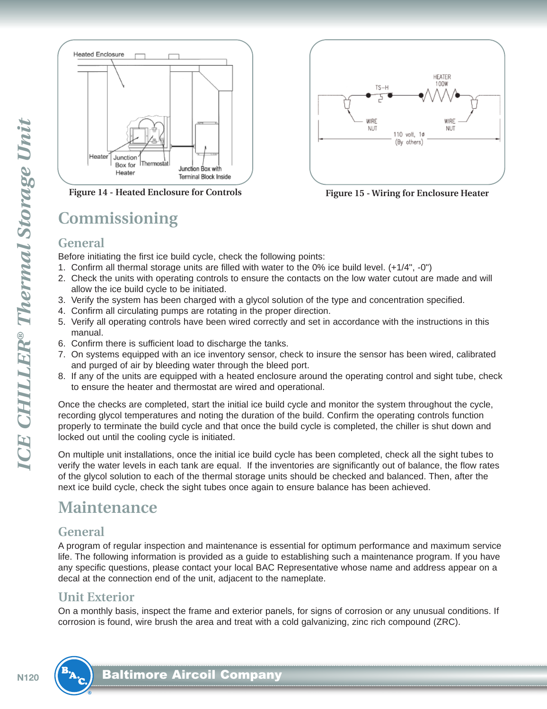<span id="page-7-0"></span>

**Figure 14 - Heated Enclosure for Controls Figure 15 - Wiring for Enclosure Heater**

## **Commissioning**



#### **General**

Before initiating the first ice build cycle, check the following points:

- 1. Confirm all thermal storage units are filled with water to the 0% ice build level. (+1/4", -0")
- 2. Check the units with operating controls to ensure the contacts on the low water cutout are made and will allow the ice build cycle to be initiated.
- 3. Verify the system has been charged with a glycol solution of the type and concentration specified.
- 4. Confirm all circulating pumps are rotating in the proper direction.
- 5. Verify all operating controls have been wired correctly and set in accordance with the instructions in this manual.
- 6. Confirm there is sufficient load to discharge the tanks.
- 7. On systems equipped with an ice inventory sensor, check to insure the sensor has been wired, calibrated and purged of air by bleeding water through the bleed port.
- 8. If any of the units are equipped with a heated enclosure around the operating control and sight tube, check to ensure the heater and thermostat are wired and operational.

Once the checks are completed, start the initial ice build cycle and monitor the system throughout the cycle, recording glycol temperatures and noting the duration of the build. Confirm the operating controls function properly to terminate the build cycle and that once the build cycle is completed, the chiller is shut down and locked out until the cooling cycle is initiated.

On multiple unit installations, once the initial ice build cycle has been completed, check all the sight tubes to verify the water levels in each tank are equal. If the inventories are significantly out of balance, the flow rates of the glycol solution to each of the thermal storage units should be checked and balanced. Then, after the next ice build cycle, check the sight tubes once again to ensure balance has been achieved.

## **Maintenance**

#### **General**

A program of regular inspection and maintenance is essential for optimum performance and maximum service life. The following information is provided as a guide to establishing such a maintenance program. If you have any specific questions, please contact your local BAC Representative whose name and address appear on a decal at the connection end of the unit, adjacent to the nameplate.

#### **Unit Exterior**

On a monthly basis, inspect the frame and exterior panels, for signs of corrosion or any unusual conditions. If corrosion is found, wire brush the area and treat with a cold galvanizing, zinc rich compound (ZRC).

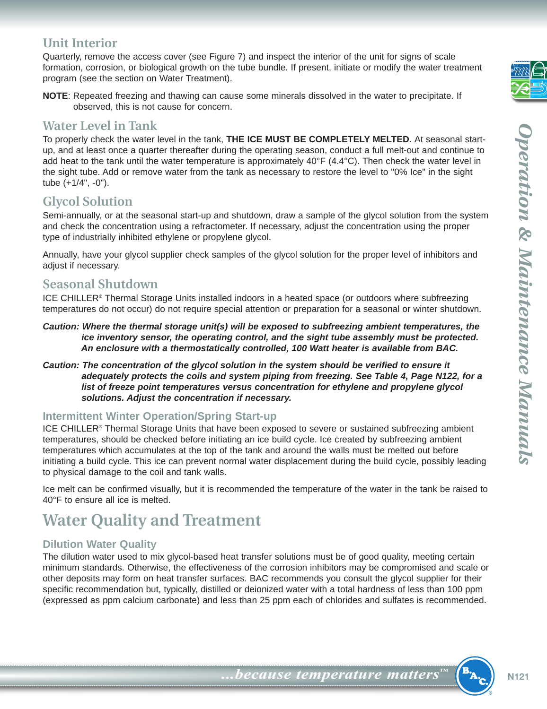#### <span id="page-8-0"></span>**Unit Interior**

Quarterly, remove the access cover (see Figure 7) and inspect the interior of the unit for signs of scale formation, corrosion, or biological growth on the tube bundle. If present, initiate or modify the water treatment program (see the section on Water Treatment).

**NOTE**: Repeated freezing and thawing can cause some minerals dissolved in the water to precipitate. If observed, this is not cause for concern.

#### **Water Level in Tank**

To properly check the water level in the tank, **THE ICE MUST BE COMPLETELY MELTED.** At seasonal startup, and at least once a quarter thereafter during the operating season, conduct a full melt-out and continue to add heat to the tank until the water temperature is approximately 40°F (4.4°C). Then check the water level in the sight tube. Add or remove water from the tank as necessary to restore the level to "0% Ice" in the sight tube (+1/4", -0").

### **Glycol Solution**

Semi-annually, or at the seasonal start-up and shutdown, draw a sample of the glycol solution from the system and check the concentration using a refractometer. If necessary, adjust the concentration using the proper type of industrially inhibited ethylene or propylene glycol.

Annually, have your glycol supplier check samples of the glycol solution for the proper level of inhibitors and adjust if necessary.

#### **Seasonal Shutdown**

ICE CHILLER**®** Thermal Storage Units installed indoors in a heated space (or outdoors where subfreezing temperatures do not occur) do not require special attention or preparation for a seasonal or winter shutdown.

- **Caution: Where the thermal storage unit(s) will be exposed to subfreezing ambient temperatures, the ice inventory sensor, the operating control, and the sight tube assembly must be protected. An enclosure with a thermostatically controlled, 100 Watt heater is available from BAC.**
- **Caution: The concentration of the glycol solution in the system should be verified to ensure it adequately protects the coils and system piping from freezing. See Table 4, Page N122, for a list of freeze point temperatures versus concentration for ethylene and propylene glycol solutions. Adjust the concentration if necessary.**

#### **Intermittent Winter Operation/Spring Start-up**

ICE CHILLER**®** Thermal Storage Units that have been exposed to severe or sustained subfreezing ambient temperatures, should be checked before initiating an ice build cycle. Ice created by subfreezing ambient temperatures which accumulates at the top of the tank and around the walls must be melted out before initiating a build cycle. This ice can prevent normal water displacement during the build cycle, possibly leading to physical damage to the coil and tank walls.

Ice melt can be confirmed visually, but it is recommended the temperature of the water in the tank be raised to 40°F to ensure all ice is melted.

## **Water Quality and Treatment**

#### **Dilution Water Quality**

The dilution water used to mix glycol-based heat transfer solutions must be of good quality, meeting certain minimum standards. Otherwise, the effectiveness of the corrosion inhibitors may be compromised and scale or other deposits may form on heat transfer surfaces. BAC recommends you consult the glycol supplier for their specific recommendation but, typically, distilled or deionized water with a total hardness of less than 100 ppm (expressed as ppm calcium carbonate) and less than 25 ppm each of chlorides and sulfates is recommended.